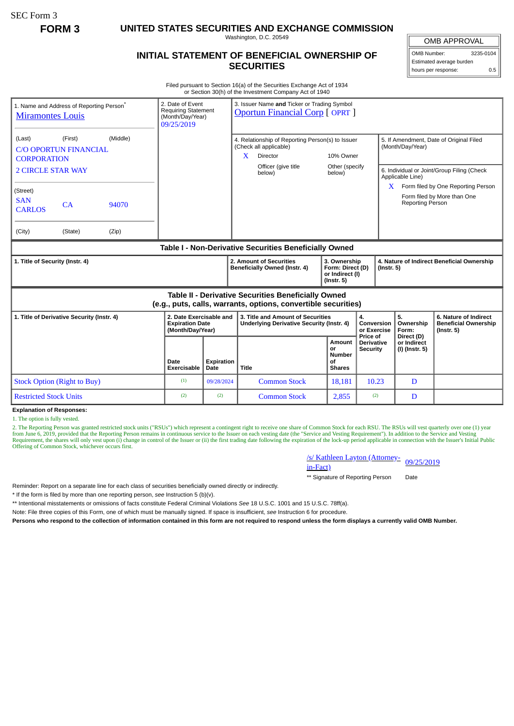SEC Form 3

**FORM 3 UNITED STATES SECURITIES AND EXCHANGE COMMISSION**

Washington, D.C. 20549

## **INITIAL STATEMENT OF BENEFICIAL OWNERSHIP OF SECURITIES**

OMB Number: 3235-0104

Estimated average burden hours per response: 0.5

Filed pursuant to Section 16(a) of the Securities Exchange Act of 1934 or Section 30(h) of the Investment Company Act of 1940

| 1. Name and Address of Reporting Person <sup>®</sup><br><b>Miramontes Louis</b>                                       |         |       | 2. Date of Event<br><b>Requiring Statement</b><br>(Month/Day/Year)<br>09/25/2019 |                                                          |                                                                                | 3. Issuer Name and Ticker or Trading Symbol<br><b>Oportun Financial Corp [ OPRT ]</b>                                |                                                      |                                                                |                                                             |                                                                                                                     |  |
|-----------------------------------------------------------------------------------------------------------------------|---------|-------|----------------------------------------------------------------------------------|----------------------------------------------------------|--------------------------------------------------------------------------------|----------------------------------------------------------------------------------------------------------------------|------------------------------------------------------|----------------------------------------------------------------|-------------------------------------------------------------|---------------------------------------------------------------------------------------------------------------------|--|
| (Middle)<br>(Last)<br>(First)<br><b>C/O OPORTUN FINANCIAL</b><br><b>CORPORATION</b>                                   |         |       |                                                                                  |                                                          | X.                                                                             | 4. Relationship of Reporting Person(s) to Issuer<br>(Check all applicable)<br><b>Director</b><br>Officer (give title | 10% Owner<br>Other (specify                          |                                                                | 5. If Amendment, Date of Original Filed<br>(Month/Day/Year) |                                                                                                                     |  |
| <b>2 CIRCLE STAR WAY</b><br>(Street)<br><b>SAN</b><br>CA<br>94070<br><b>CARLOS</b>                                    |         |       |                                                                                  |                                                          |                                                                                | below)                                                                                                               | below)                                               |                                                                | Applicable Line)<br><b>Reporting Person</b>                 | 6. Individual or Joint/Group Filing (Check<br>$X$ Form filed by One Reporting Person<br>Form filed by More than One |  |
| (City)                                                                                                                | (State) | (Zip) |                                                                                  |                                                          |                                                                                |                                                                                                                      |                                                      |                                                                |                                                             |                                                                                                                     |  |
| Table I - Non-Derivative Securities Beneficially Owned                                                                |         |       |                                                                                  |                                                          |                                                                                |                                                                                                                      |                                                      |                                                                |                                                             |                                                                                                                     |  |
| 1. Title of Security (Instr. 4)                                                                                       |         |       |                                                                                  | 2. Amount of Securities<br>Beneficially Owned (Instr. 4) |                                                                                | 3. Ownership<br>Form: Direct (D)<br>or Indirect (I)<br>$($ lnstr. 5 $)$                                              |                                                      | 4. Nature of Indirect Beneficial Ownership<br>$($ lnstr. 5 $)$ |                                                             |                                                                                                                     |  |
| Table II - Derivative Securities Beneficially Owned<br>(e.g., puts, calls, warrants, options, convertible securities) |         |       |                                                                                  |                                                          |                                                                                |                                                                                                                      |                                                      |                                                                |                                                             |                                                                                                                     |  |
| 1. Title of Derivative Security (Instr. 4)                                                                            |         |       | 2. Date Exercisable and<br><b>Expiration Date</b><br>(Month/Day/Year)            |                                                          | 3. Title and Amount of Securities<br>Underlying Derivative Security (Instr. 4) |                                                                                                                      |                                                      | 4.<br>Conversion<br>or Exercise                                | 5.<br>Ownership<br>Form:                                    | 6. Nature of Indirect<br><b>Beneficial Ownership</b><br>$($ lnstr. 5 $)$                                            |  |
|                                                                                                                       |         |       | Date<br>Exercisable                                                              | Expiration<br>Date                                       | <b>Title</b>                                                                   |                                                                                                                      | Amount<br>or<br><b>Number</b><br>οf<br><b>Shares</b> | Price of<br><b>Derivative</b><br><b>Security</b>               | Direct (D)<br>or Indirect<br>(I) (Instr. 5)                 |                                                                                                                     |  |
| <b>Stock Option (Right to Buy)</b>                                                                                    |         |       | (1)                                                                              | 09/28/2024                                               |                                                                                | <b>Common Stock</b>                                                                                                  | 18,181                                               | 10.23                                                          | D                                                           |                                                                                                                     |  |
| <b>Restricted Stock Units</b>                                                                                         |         |       | (2)                                                                              | (2)                                                      |                                                                                | <b>Common Stock</b>                                                                                                  | 2,855                                                | (2)                                                            | D                                                           |                                                                                                                     |  |

**Explanation of Responses:**

1. The option is fully vested.

2. The Reporting Person was granted restricted stock units ("RSUs") which represent a contingent right to receive one share of Common Stock for each RSU. The RSUs will vest quarterly over one (1) year<br>from June 6, 2019, pr Offering of Common Stock, whichever occurs first.

/s/ Kathleen Layton (Attorney-<br>in-Fact)

\*\* Signature of Reporting Person Date

Reminder: Report on a separate line for each class of securities beneficially owned directly or indirectly.

\* If the form is filed by more than one reporting person, *see* Instruction 5 (b)(v).

\*\* Intentional misstatements or omissions of facts constitute Federal Criminal Violations *See* 18 U.S.C. 1001 and 15 U.S.C. 78ff(a).

Note: File three copies of this Form, one of which must be manually signed. If space is insufficient, *see* Instruction 6 for procedure.

**Persons who respond to the collection of information contained in this form are not required to respond unless the form displays a currently valid OMB Number.**

OMB APPROVAL